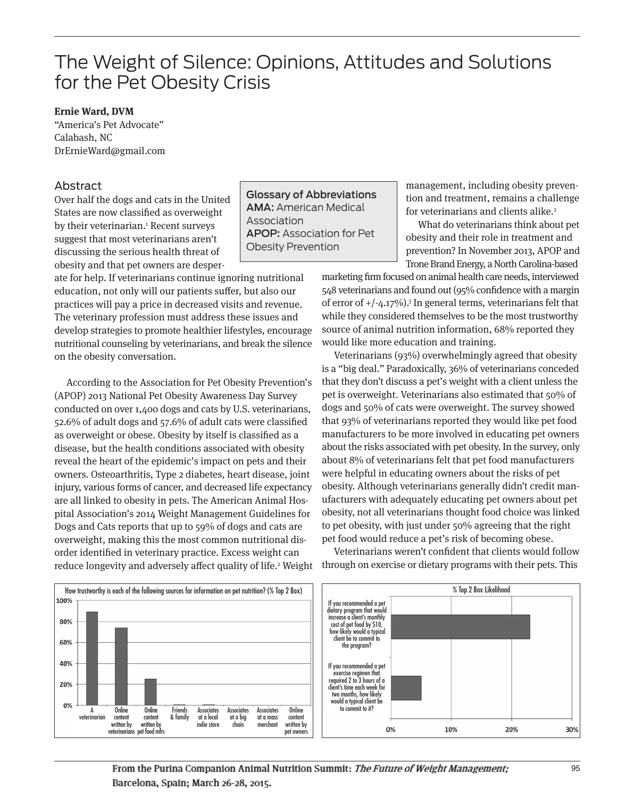# The Weight of Silence: Opinions, Attitudes and Solutions for the Pet Obesity Crisis

## **Ernie Ward, DVM**

"America's Pet Advocate" Calabash, NC DrErnieWard@gmail.com

## Abstract

Over half the dogs and cats in the United States are now classified as overweight by their veterinarian.<sup>1</sup> Recent surveys suggest that most veterinarians aren't discussing the serious health threat of obesity and that pet owners are desperGlossary of Abbreviations AMA: American Medical Association APOP: Association for Pet Obesity Prevention

ate for help. If veterinarians continue ignoring nutritional education, not only will our patients suffer, but also our practices will pay a price in decreased visits and revenue. The veterinary profession must address these issues and develop strategies to promote healthier lifestyles, encourage nutritional counseling by veterinarians, and break the silence on the obesity conversation.

According to the Association for Pet Obesity Prevention's (APOP) 2013 National Pet Obesity Awareness Day Survey conducted on over 1,400 dogs and cats by U.S. veterinarians, 52.6% of adult dogs and 57.6% of adult cats were classified as overweight or obese. Obesity by itself is classified as a disease, but the health conditions associated with obesity reveal the heart of the epidemic's impact on pets and their owners. Osteoarthritis, Type 2 diabetes, heart disease, joint injury, various forms of cancer, and decreased life expectancy are all linked to obesity in pets. The American Animal Hospital Association's 2014 Weight Management Guidelines for Dogs and Cats reports that up to 59% of dogs and cats are overweight, making this the most common nutritional disorder identified in veterinary practice. Excess weight can reduce longevity and adversely affect quality of life.<sup>2</sup> Weight management, including obesity prevention and treatment, remains a challenge for veterinarians and clients alike. 2

What do veterinarians think about pet obesity and their role in treatment and prevention? In November 2013, APOP and Trone Brand Energy, a North Carolina-based

marketing firm focused on animal health care needs, interviewed 548 veterinarians and found out (95% confidence with a margin of error of  $+/-4.17\%)$ .<sup>3</sup> In general terms, veterinarians felt that while they considered themselves to be the most trustworthy source of animal nutrition information, 68% reported they would like more education and training.

Veterinarians (93%) overwhelmingly agreed that obesity is a "big deal." Paradoxically, 36% of veterinarians conceded that they don't discuss a pet's weight with a client unless the pet is overweight. Veterinarians also estimated that 50% of dogs and 50% of cats were overweight. The survey showed that 93% of veterinarians reported they would like pet food manufacturers to be more involved in educating pet owners about the risks associated with pet obesity. In the survey, only about 8% of veterinarians felt that pet food manufacturers were helpful in educating owners about the risks of pet obesity. Although veterinarians generally didn't credit manufacturers with adequately educating pet owners about pet obesity, not all veterinarians thought food choice was linked to pet obesity, with just under 50% agreeing that the right pet food would reduce a pet's risk of becoming obese.

Veterinarians weren't confident that clients would follow through on exercise or dietary programs with their pets. This



From the Purina Companion Animal Nutrition Summit: The Future of Weight Management; Barcelona, Spain; March 26-28, 2015.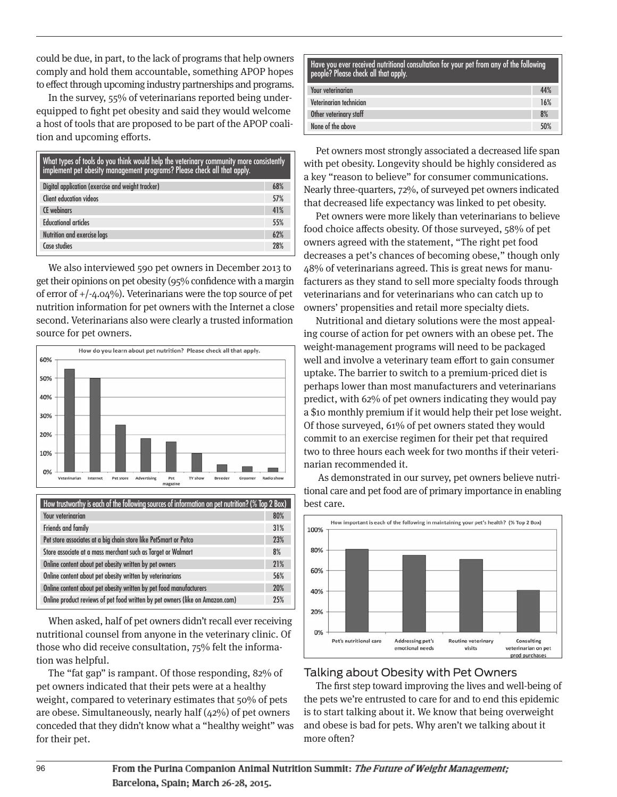could be due, in part, to the lack of programs that help owners comply and hold them accountable, something APOP hopes to effect through upcoming industry partnerships and programs.

In the survey, 55% of veterinarians reported being underequipped to fight pet obesity and said they would welcome a host of tools that are proposed to be part of the APOP coali tion and upcoming efforts.

| What types of tools do you think would help the veterinary community more consistently<br>implement pet obesity management programs? Please check all that apply. |            |
|-------------------------------------------------------------------------------------------------------------------------------------------------------------------|------------|
| Digital application (exercise and weight tracker)                                                                                                                 | 68%        |
| Client education videos                                                                                                                                           | 57%        |
| <b>CF</b> webinars                                                                                                                                                | 41%        |
| <b>Educational articles</b>                                                                                                                                       | 55%        |
| Nutrition and exercise logs                                                                                                                                       | 62%        |
| Case studies                                                                                                                                                      | <b>28%</b> |

We also interviewed 590 pet owners in December 2013 to get their opinions on pet obesity (95% confidence with a margin of error of +/-4.04%). Veterinarians were the top source of pet nutrition information for pet owners with the Internet a close second. Veterinarians also were clearly a trusted information source for pet owners.



| How trustworthy is each of the following sources of information on pet nutrition? (% Top 2 Box) |     |
|-------------------------------------------------------------------------------------------------|-----|
| <b>Your veterinarian</b>                                                                        | 80% |
| Friends and family                                                                              | 31% |
| Pet store associates at a big chain store like PetSmart or Petco                                | 23% |
| Store associate at a mass merchant such as Target or Walmart                                    | 8%  |
| Online content about pet obesity written by pet owners                                          | 21% |
| Online content about pet obesity written by veterinarians                                       | 56% |
| Online content about pet obesity written by pet food manufacturers                              | 20% |
| Online product reviews of pet food written by pet owners (like on Amazon.com)                   | 25% |

When asked, half of pet owners didn't recall ever receiving nutritional counsel from anyone in the veterinary clinic. Of those who did receive consultation, 75% felt the information was helpful.

The "fat gap" is rampant. Of those responding, 82% of pet owners indicated that their pets were at a healthy weight, compared to veterinary estimates that 50% of pets are obese. Simultaneously, nearly half (42%) of pet owners conceded that they didn't know what a "healthy weight" was for their pet.

| Have you ever received nutritional consultation for your pet from any of the following<br>, people? Please check all that apply. |     |
|----------------------------------------------------------------------------------------------------------------------------------|-----|
| <b>Your veterinarian</b>                                                                                                         | 44% |
| Veterinarian technician                                                                                                          | 16% |
| Other veterinary staff                                                                                                           | 8%  |
| None of the above                                                                                                                | 50% |

Pet owners most strongly associated a decreased life span with pet obesity. Longevity should be highly considered as a key "reason to believe" for consumer communications. Nearly three-quarters, 72%, of surveyed pet owners indicated that decreased life expectancy was linked to pet obesity.

Pet owners were more likely than veterinarians to believe food choice affects obesity. Of those surveyed, 58% of pet owners agreed with the statement, "The right pet food decreases a pet's chances of becoming obese," though only 48% of veterinarians agreed. This is great news for manufacturers as they stand to sell more specialty foods through veterinarians and for veterinarians who can catch up to owners' propensities and retail more specialty diets.

Nutritional and dietary solutions were the most appealing course of action for pet owners with an obese pet. The weight-management programs will need to be packaged well and involve a veterinary team effort to gain consumer uptake. The barrier to switch to a premium-priced diet is perhaps lower than most manufacturers and veterinarians predict, with 62% of pet owners indicating they would pay a \$10 monthly premium if it would help their pet lose weight. Of those surveyed, 61% of pet owners stated they would commit to an exercise regimen for their pet that required two to three hours each week for two months if their veterinarian recommended it.

As demonstrated in our survey, pet owners believe nutritional care and pet food are of primary importance in enabling best care.



## Talking about Obesity with Pet Owners

The first step toward improving the lives and well-being of the pets we're entrusted to care for and to end this epidemic is to start talking about it. We know that being overweight and obese is bad for pets. Why aren't we talking about it more often?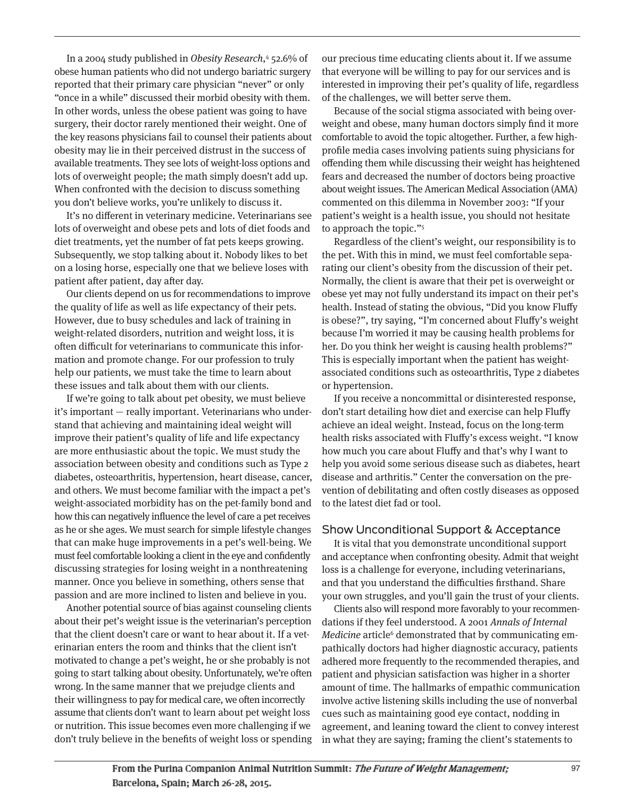In a 2004 study published in Obesity Research,<sup>4</sup> 52.6% of obese human patients who did not undergo bariatric surgery reported that their primary care physician "never" or only "once in a while" discussed their morbid obesity with them. In other words, unless the obese patient was going to have surgery, their doctor rarely mentioned their weight. One of the key reasons physicians fail to counsel their patients about obesity may lie in their perceived distrust in the success of available treatments. They see lots of weight-loss options and lots of overweight people; the math simply doesn't add up. When confronted with the decision to discuss something you don't believe works, you're unlikely to discuss it.

It's no different in veterinary medicine. Veterinarians see lots of overweight and obese pets and lots of diet foods and diet treatments, yet the number of fat pets keeps growing. Subsequently, we stop talking about it. Nobody likes to bet on a losing horse, especially one that we believe loses with patient after patient, day after day.

Our clients depend on us for recommendations to improve the quality of life as well as life expectancy of their pets. However, due to busy schedules and lack of training in weight-related disorders, nutrition and weight loss, it is often difficult for veterinarians to communicate this information and promote change. For our profession to truly help our patients, we must take the time to learn about these issues and talk about them with our clients.

If we're going to talk about pet obesity, we must believe it's important — really important. Veterinarians who understand that achieving and maintaining ideal weight will improve their patient's quality of life and life expectancy are more enthusiastic about the topic. We must study the association between obesity and conditions such as Type 2 diabetes, osteoarthritis, hypertension, heart disease, cancer, and others. We must become familiar with the impact a pet's weight-associated morbidity has on the pet-family bond and how this can negatively influence the level of care a pet receives as he or she ages. We must search for simple lifestyle changes that can make huge improvements in a pet's well-being. We must feel comfortable looking a client in the eye and confidently discussing strategies for losing weight in a nonthreatening manner. Once you believe in something, others sense that passion and are more inclined to listen and believe in you.

Another potential source of bias against counseling clients about their pet's weight issue is the veterinarian's perception that the client doesn't care or want to hear about it. If a veterinarian enters the room and thinks that the client isn't motivated to change a pet's weight, he or she probably is not going to start talking about obesity. Unfortunately, we're often wrong. In the same manner that we prejudge clients and their willingness to pay for medical care, we often incorrectly assume that clients don't want to learn about pet weight loss or nutrition. This issue becomes even more challenging if we don't truly believe in the benefits of weight loss or spending our precious time educating clients about it. If we assume that everyone will be willing to pay for our services and is interested in improving their pet's quality of life, regardless of the challenges, we will better serve them.

Because of the social stigma associated with being overweight and obese, many human doctors simply find it more comfortable to avoid the topic altogether. Further, a few highprofile media cases involving patients suing physicians for offending them while discussing their weight has heightened fears and decreased the number of doctors being proactive about weight issues. The American Medical Association (AMA) commented on this dilemma in November 2003: "If your patient's weight is a health issue, you should not hesitate to approach the topic."<sup>5</sup>

Regardless of the client's weight, our responsibility is to the pet. With this in mind, we must feel comfortable separating our client's obesity from the discussion of their pet. Normally, the client is aware that their pet is overweight or obese yet may not fully understand its impact on their pet's health. Instead of stating the obvious, "Did you know Fluffy is obese?", try saying, "I'm concerned about Fluffy's weight because I'm worried it may be causing health problems for her. Do you think her weight is causing health problems?" This is especially important when the patient has weightassociated conditions such as osteoarthritis, Type 2 diabetes or hypertension.

If you receive a noncommittal or disinterested response, don't start detailing how diet and exercise can help Fluffy achieve an ideal weight. Instead, focus on the long-term health risks associated with Fluffy's excess weight. "I know how much you care about Fluffy and that's why I want to help you avoid some serious disease such as diabetes, heart disease and arthritis." Center the conversation on the prevention of debilitating and often costly diseases as opposed to the latest diet fad or tool.

### Show Unconditional Support & Acceptance

It is vital that you demonstrate unconditional support and acceptance when confronting obesity. Admit that weight loss is a challenge for everyone, including veterinarians, and that you understand the difficulties firsthand. Share your own struggles, and you'll gain the trust of your clients.

Clients also will respond more favorably to your recommendations if they feel understood. A 2001 Annals of Internal Medicine article<sup>6</sup> demonstrated that by communicating empathically doctors had higher diagnostic accuracy, patients adhered more frequently to the recommended therapies, and patient and physician satisfaction was higher in a shorter amount of time. The hallmarks of empathic communication involve active listening skills including the use of nonverbal cues such as maintaining good eye contact, nodding in agreement, and leaning toward the client to convey interest in what they are saying; framing the client's statements to